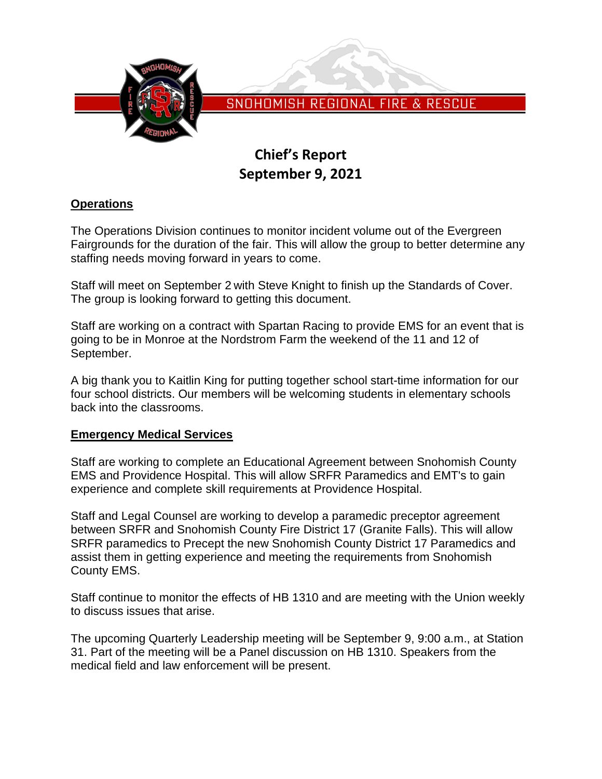

SNOHOMISH REGIONAL FIRE & RESCUE

# **Chief's Report September 9, 2021**

# **Operations**

The Operations Division continues to monitor incident volume out of the Evergreen Fairgrounds for the duration of the fair. This will allow the group to better determine any staffing needs moving forward in years to come.

Staff will meet on September 2 with Steve Knight to finish up the Standards of Cover. The group is looking forward to getting this document.

Staff are working on a contract with Spartan Racing to provide EMS for an event that is going to be in Monroe at the Nordstrom Farm the weekend of the 11 and 12 of September.

A big thank you to Kaitlin King for putting together school start-time information for our four school districts. Our members will be welcoming students in elementary schools back into the classrooms.

# **Emergency Medical Services**

Staff are working to complete an Educational Agreement between Snohomish County EMS and Providence Hospital. This will allow SRFR Paramedics and EMT's to gain experience and complete skill requirements at Providence Hospital.

Staff and Legal Counsel are working to develop a paramedic preceptor agreement between SRFR and Snohomish County Fire District 17 (Granite Falls). This will allow SRFR paramedics to Precept the new Snohomish County District 17 Paramedics and assist them in getting experience and meeting the requirements from Snohomish County EMS.

Staff continue to monitor the effects of HB 1310 and are meeting with the Union weekly to discuss issues that arise.

The upcoming Quarterly Leadership meeting will be September 9, 9:00 a.m., at Station 31. Part of the meeting will be a Panel discussion on HB 1310. Speakers from the medical field and law enforcement will be present.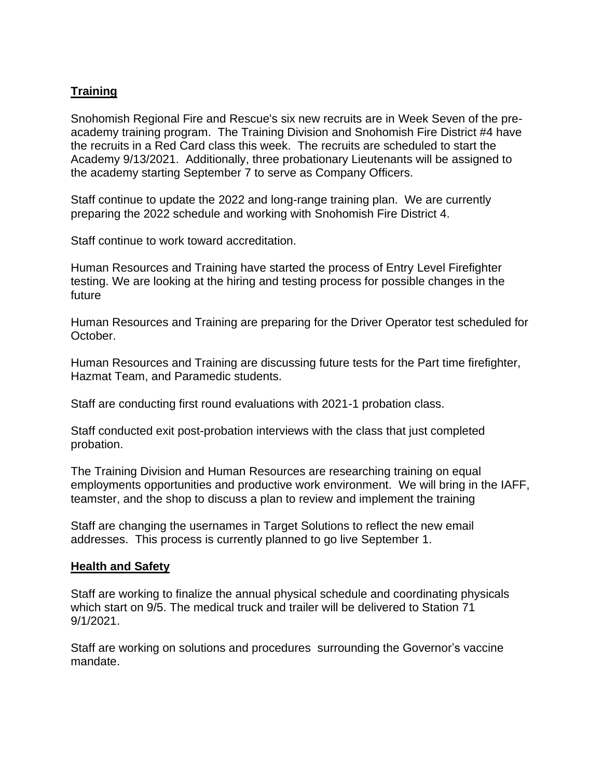# **Training**

Snohomish Regional Fire and Rescue's six new recruits are in Week Seven of the preacademy training program. The Training Division and Snohomish Fire District #4 have the recruits in a Red Card class this week. The recruits are scheduled to start the Academy 9/13/2021. Additionally, three probationary Lieutenants will be assigned to the academy starting September 7 to serve as Company Officers.

Staff continue to update the 2022 and long-range training plan. We are currently preparing the 2022 schedule and working with Snohomish Fire District 4.

Staff continue to work toward accreditation.

Human Resources and Training have started the process of Entry Level Firefighter testing. We are looking at the hiring and testing process for possible changes in the future

Human Resources and Training are preparing for the Driver Operator test scheduled for October.

Human Resources and Training are discussing future tests for the Part time firefighter, Hazmat Team, and Paramedic students.

Staff are conducting first round evaluations with 2021-1 probation class.

Staff conducted exit post-probation interviews with the class that just completed probation.

The Training Division and Human Resources are researching training on equal employments opportunities and productive work environment. We will bring in the IAFF, teamster, and the shop to discuss a plan to review and implement the training

Staff are changing the usernames in Target Solutions to reflect the new email addresses. This process is currently planned to go live September 1.

# **Health and Safety**

Staff are working to finalize the annual physical schedule and coordinating physicals which start on 9/5. The medical truck and trailer will be delivered to Station 71 9/1/2021.

Staff are working on solutions and procedures surrounding the Governor's vaccine mandate.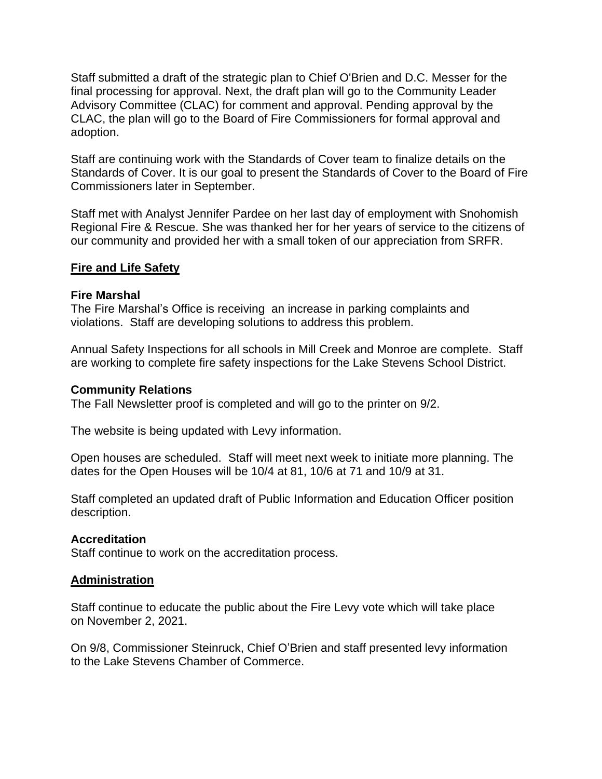Staff submitted a draft of the strategic plan to Chief O'Brien and D.C. Messer for the final processing for approval. Next, the draft plan will go to the Community Leader Advisory Committee (CLAC) for comment and approval. Pending approval by the CLAC, the plan will go to the Board of Fire Commissioners for formal approval and adoption.

Staff are continuing work with the Standards of Cover team to finalize details on the Standards of Cover. It is our goal to present the Standards of Cover to the Board of Fire Commissioners later in September.

Staff met with Analyst Jennifer Pardee on her last day of employment with Snohomish Regional Fire & Rescue. She was thanked her for her years of service to the citizens of our community and provided her with a small token of our appreciation from SRFR.

#### **Fire and Life Safety**

#### **Fire Marshal**

The Fire Marshal's Office is receiving an increase in parking complaints and violations. Staff are developing solutions to address this problem.

Annual Safety Inspections for all schools in Mill Creek and Monroe are complete. Staff are working to complete fire safety inspections for the Lake Stevens School District.

#### **Community Relations**

The Fall Newsletter proof is completed and will go to the printer on 9/2.

The website is being updated with Levy information.

Open houses are scheduled. Staff will meet next week to initiate more planning. The dates for the Open Houses will be 10/4 at 81, 10/6 at 71 and 10/9 at 31.

Staff completed an updated draft of Public Information and Education Officer position description.

# **Accreditation**

Staff continue to work on the accreditation process.

# **Administration**

Staff continue to educate the public about the Fire Levy vote which will take place on November 2, 2021.

On 9/8, Commissioner Steinruck, Chief O'Brien and staff presented levy information to the Lake Stevens Chamber of Commerce.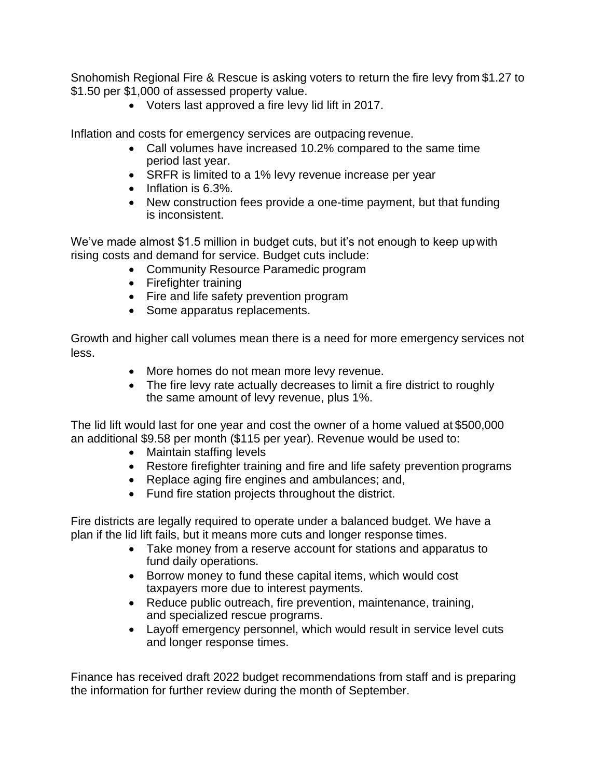Snohomish Regional Fire & Rescue is asking voters to return the fire levy from \$1.27 to \$1.50 per \$1,000 of assessed property value.

• Voters last approved a fire levy lid lift in 2017.

Inflation and costs for emergency services are outpacing revenue.

- Call volumes have increased 10.2% compared to the same time period last year.
- SRFR is limited to a 1% levy revenue increase per year
- Inflation is 6.3%.
- New construction fees provide a one-time payment, but that funding is inconsistent.

We've made almost \$1.5 million in budget cuts, but it's not enough to keep upwith rising costs and demand for service. Budget cuts include:

- Community Resource Paramedic program
- Firefighter training
- Fire and life safety prevention program
- Some apparatus replacements.

Growth and higher call volumes mean there is a need for more emergency services not less.

- More homes do not mean more levy revenue.
- The fire levy rate actually decreases to limit a fire district to roughly the same amount of levy revenue, plus 1%.

The lid lift would last for one year and cost the owner of a home valued at \$500,000 an additional \$9.58 per month (\$115 per year). Revenue would be used to:

- Maintain staffing levels
- Restore firefighter training and fire and life safety prevention programs
- Replace aging fire engines and ambulances; and,
- Fund fire station projects throughout the district.

Fire districts are legally required to operate under a balanced budget. We have a plan if the lid lift fails, but it means more cuts and longer response times.

- Take money from a reserve account for stations and apparatus to fund daily operations.
- Borrow money to fund these capital items, which would cost taxpayers more due to interest payments.
- Reduce public outreach, fire prevention, maintenance, training, and specialized rescue programs.
- Layoff emergency personnel, which would result in service level cuts and longer response times.

Finance has received draft 2022 budget recommendations from staff and is preparing the information for further review during the month of September.